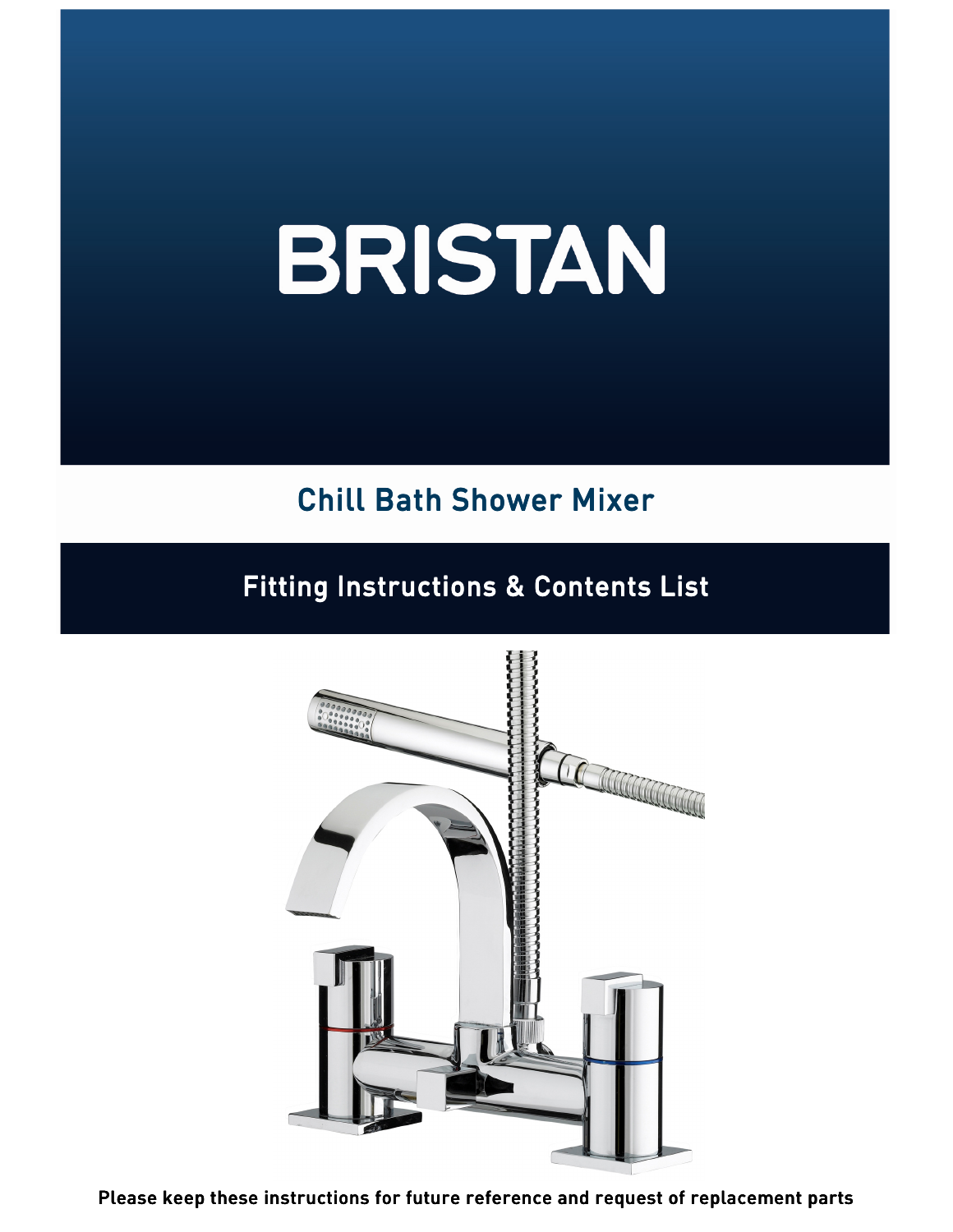# BRISTAN

# **Chill Bath Shower Mixer**

# **Fitting Instructions & Contents List**



Please keep these instructions for future reference and request of replacement parts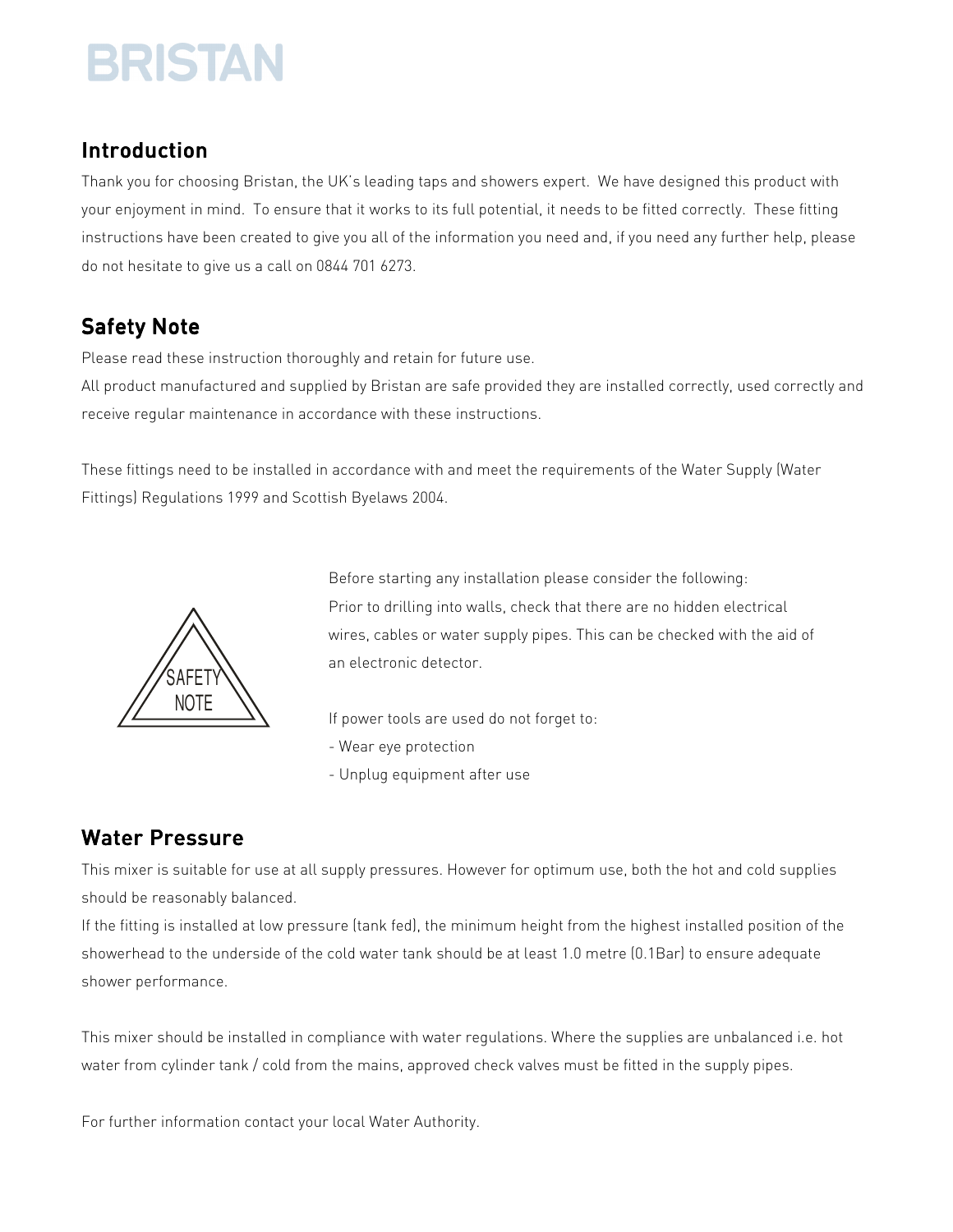# **BRISTAN**

# Introduction

Thank you for choosing Bristan, the UK's leading taps and showers expert. We have designed this product with your enjoyment in mind. To ensure that it works to its full potential, it needs to be fitted correctly. These fitting instructions have been created to give you all of the information you need and, if you need any further help, please do not hesitate to give us a call on 0844 701 6273.

# Safety Note

Please read these instruction thoroughly and retain for future use.

All product manufactured and supplied by Bristan are safe provided they are installed correctly, used correctly and receive regular maintenance in accordance with these instructions.

These fittings need to be installed in accordance with and meet the requirements of the Water Supply (Water Fittings) Regulations 1999 and Scottish Byelaws 2004.



Before starting any installation please consider the following: Prior to drilling into walls, check that there are no hidden electrical wires, cables or water supply pipes. This can be checked with the aid of an electronic detector.

If power tools are used do not forget to:

- Wear eye protection
- Unplug equipment after use

## Water Pressure

This mixer is suitable for use at all supply pressures. However for optimum use, both the hot and cold supplies should be reasonably balanced.

If the fitting is installed at low pressure (tank fed), the minimum height from the highest installed position of the showerhead to the underside of the cold water tank should be at least 1.0 metre (0.1Bar) to ensure adequate shower performance.

This mixer should be installed in compliance with water regulations. Where the supplies are unbalanced i.e. hot water from cylinder tank / cold from the mains, approved check valves must be fitted in the supply pipes.

For further information contact your local Water Authority.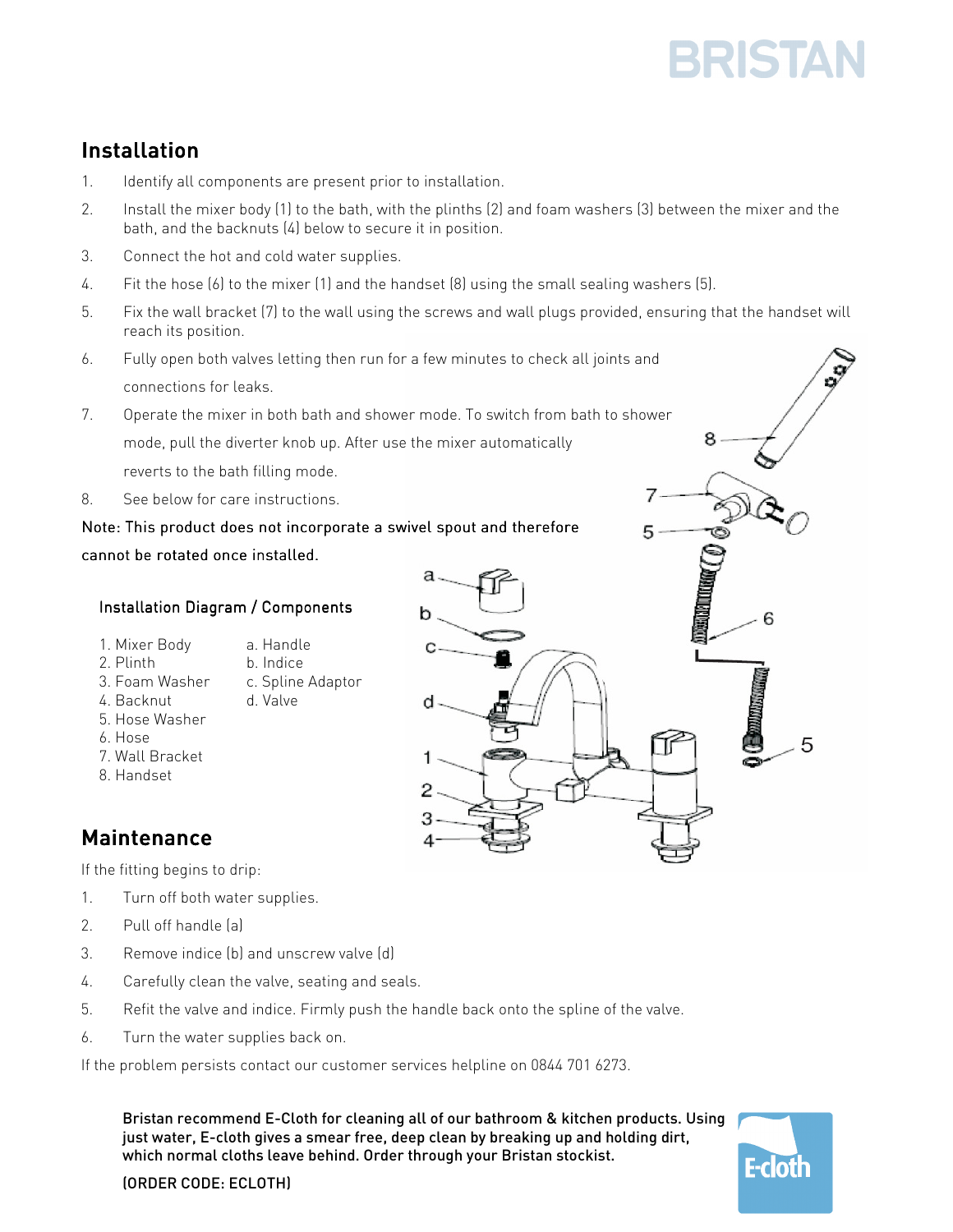# **BRISTAI**

# Installation

- 1. Identify all components are present prior to installation.
- 2. Install the mixer body (1) to the bath, with the plinths (2) and foam washers (3) between the mixer and the bath, and the backnuts (4) below to secure it in position.
- 3. Connect the hot and cold water supplies.
- 4. Fit the hose (6) to the mixer (1) and the handset (8) using the small sealing washers (5).
- 5. Fix the wall bracket (7) to the wall using the screws and wall plugs provided, ensuring that the handset will reach its position.
- 6. Fully open both valves letting then run for a few minutes to check all joints and connections for leaks.
- 7. Operate the mixer in both bath and shower mode. To switch from bath to shower mode, pull the diverter knob up. After use the mixer automatically reverts to the bath filling mode.
- 8. See below for care instructions.

#### Note: This product does not incorporate a swivel spout and therefore cannot be rotated once installed.

#### Installation Diagram / Components

- 1. Mixer Body a. Handle
- 2. Plinth b. Indice
- 3. Foam Washer c. Spline Adaptor
- 4. Backnut d. Valve
- 5. Hose Washer
- 6. Hose
- 7. Wall Bracket
- 8. Handset

## **Maintenance**

If the fitting begins to drip:

- 1. Turn off both water supplies.
- 2. Pull off handle (a)
- 3. Remove indice (b) and unscrew valve (d)
- 4. Carefully clean the valve, seating and seals.
- 5. Refit the valve and indice. Firmly push the handle back onto the spline of the valve.
- 6. Turn the water supplies back on.

If the problem persists contact our customer services helpline on 0844 701 6273.

Bristan recommend E-Cloth for cleaning all of our bathroom & kitchen products. Using just water, E-cloth gives a smear free, deep clean by breaking up and holding dirt, which normal cloths leave behind. Order through your Bristan stockist.



(ORDER CODE: ECLOTH)